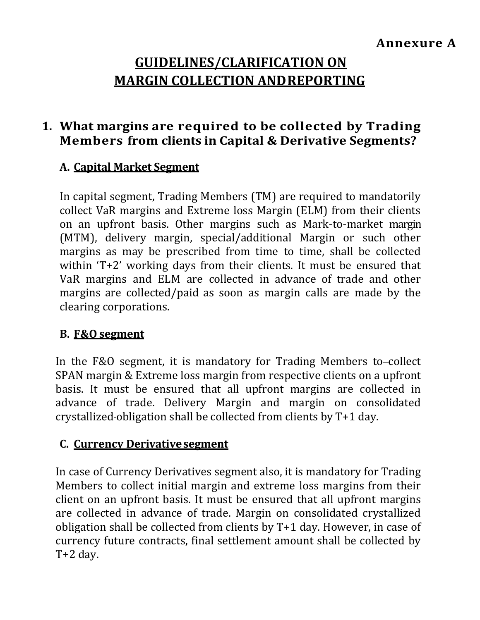# **GUIDELINES/CLARIFICATION ON MARGIN COLLECTION ANDREPORTING**

# **1. What margins are required to be collected by Trading Members from clients in Capital & Derivative Segments?**

#### **A. Capital Market Segment**

In capital segment, Trading Members (TM) are required to mandatorily collect VaR margins and Extreme loss Margin (ELM) from their clients on an upfront basis. Other margins such as Mark-to-market margin (MTM), delivery margin, special/additional Margin or such other margins as may be prescribed from time to time, shall be collected within 'T+2' working days from their clients. It must be ensured that VaR margins and ELM are collected in advance of trade and other margins are collected/paid as soon as margin calls are made by the clearing corporations.

#### **B. F&O segment**

In the F&O segment, it is mandatory for Trading Members to-collect SPAN margin & Extreme loss margin from respective clients on a upfront basis. It must be ensured that all upfront margins are collected in advance of trade. Delivery Margin and margin on consolidated crystallized obligation shall be collected from clients by T+1 day.

#### **C. Currency Derivativesegment**

In case of Currency Derivatives segment also, it is mandatory for Trading Members to collect initial margin and extreme loss margins from their client on an upfront basis. It must be ensured that all upfront margins are collected in advance of trade. Margin on consolidated crystallized obligation shall be collected from clients by T+1 day. However, in case of currency future contracts, final settlement amount shall be collected by T+2 day.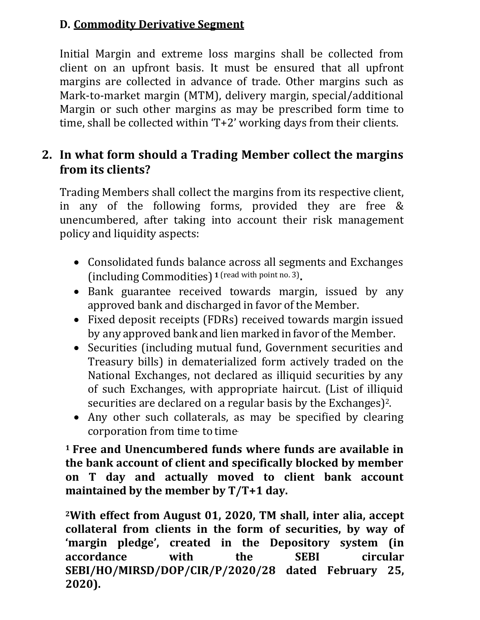#### **D. Commodity Derivative Segment**

Initial Margin and extreme loss margins shall be collected from client on an upfront basis. It must be ensured that all upfront margins are collected in advance of trade. Other margins such as Mark-to-market margin (MTM), delivery margin, special/additional Margin or such other margins as may be prescribed form time to time, shall be collected within 'T+2' working days from their clients.

# **2. In what form should a Trading Member collect the margins from its clients?**

Trading Members shall collect the margins from its respective client, in any of the following forms, provided they are free & unencumbered, after taking into account their risk management policy and liquidity aspects:

- Consolidated funds balance across all segments and Exchanges (including Commodities) **1** (read with point no. 3) **.**
- Bank guarantee received towards margin, issued by any approved bank and discharged in favor of the Member.
- Fixed deposit receipts (FDRs) received towards margin issued by any approved bank and lien marked in favor ofthe Member.
- Securities (including mutual fund, Government securities and Treasury bills) in dematerialized form actively traded on the National Exchanges, not declared as illiquid securities by any of such Exchanges, with appropriate haircut. (List of illiquid securities are declared on a regular basis by the Exchanges) 2.
- Any other such collaterals, as may be specified by clearing corporation from time to time.

**<sup>1</sup> Free and Unencumbered funds where funds are available in the bank account of client and specifically blocked by member on T day and actually moved to client bank account maintained by the member by T/T+1 day.**

**<sup>2</sup>With effect from August 01, 2020, TM shall, inter alia, accept collateral from clients in the form of securities, by way of 'margin pledge', created in the Depository system (in accordance with the SEBI circular SEBI/HO/MIRSD/DOP/CIR/P/2020/28 dated February 25, 2020).**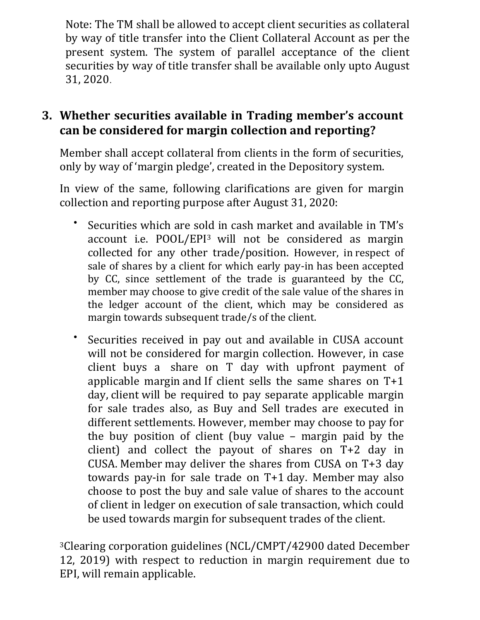Note: The TM shall be allowed to accept client securities as collateral by way of title transfer into the Client Collateral Account as per the present system. The system of parallel acceptance of the client securities by way of title transfer shall be available only upto August 31, 2020.

# **3. Whether securities available in Trading member's account can be considered for margin collection and reporting?**

Member shall accept collateral from clients in the form of securities, only by way of 'margin pledge', created in the Depository system.

In view of the same, following clarifications are given for margin collection and reporting purpose after August 31, 2020:

- Securities which are sold in cash market and available in TM's account i.e. POOL/EPI3 will not be considered as margin collected for any other trade/position. However, in respect of sale of shares by a client for which early pay-in has been accepted by CC, since settlement of the trade is guaranteed by the CC, member may choose to give credit of the sale value of the shares in the ledger account of the client, which may be considered as margin towards subsequent trade/s of the client.
- Securities received in pay out and available in CUSA account will not be considered for margin collection. However, in case client buys a share on T day with upfront payment of applicable margin and If client sells the same shares on T+1 day, client will be required to pay separate applicable margin for sale trades also, as Buy and Sell trades are executed in different settlements. However, member may choose to pay for the buy position of client (buy value – margin paid by the client) and collect the payout of shares on T+2 day in CUSA. Member may deliver the shares from CUSA on T+3 day towards pay-in for sale trade on T+1 day. Member may also choose to post the buy and sale value of shares to the account of client in ledger on execution of sale transaction, which could be used towards margin for subsequent trades of the client.

<sup>3</sup>Clearing corporation guidelines (NCL/CMPT/42900 dated December 12, 2019) with respect to reduction in margin requirement due to EPI, will remain applicable.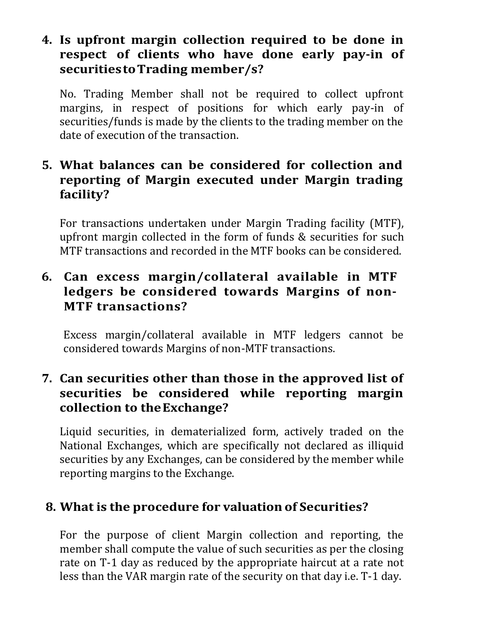# **4. Is upfront margin collection required to be done in respect of clients who have done early pay-in of securitiestoTrading member/s?**

No. Trading Member shall not be required to collect upfront margins, in respect of positions for which early pay-in of securities/funds is made by the clients to the trading member on the date of execution of the transaction.

# **5. What balances can be considered for collection and reporting of Margin executed under Margin trading facility?**

For transactions undertaken under Margin Trading facility (MTF), upfront margin collected in the form of funds & securities for such MTF transactions and recorded in the MTF books can be considered.

# **6. Can excess margin/collateral available in MTF ledgers be considered towards Margins of non-MTF transactions?**

Excess margin/collateral available in MTF ledgers cannot be considered towards Margins of non-MTF transactions.

# **7. Can securities other than those in the approved list of securities be considered while reporting margin collection to theExchange?**

Liquid securities, in dematerialized form, actively traded on the National Exchanges, which are specifically not declared as illiquid securities by any Exchanges, can be considered by the member while reporting margins to the Exchange.

# **8. What is the procedure for valuation of Securities?**

For the purpose of client Margin collection and reporting, the member shall compute the value of such securities as per the closing rate on T-1 day as reduced by the appropriate haircut at a rate not less than the VAR margin rate of the security on that day i.e. T-1 day.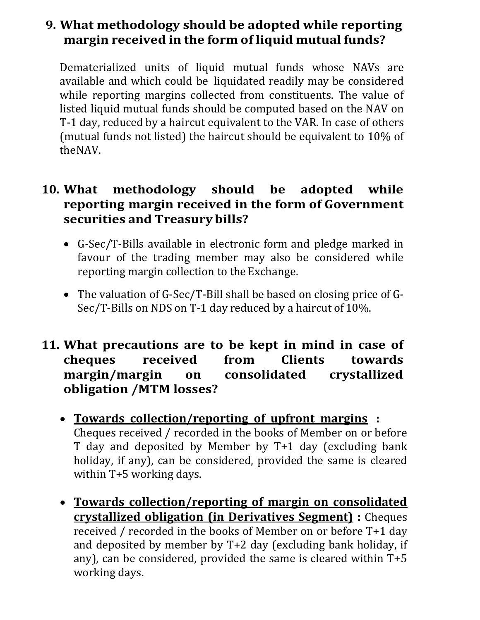# **9. What methodology should be adopted while reporting margin received in the form of liquid mutual funds?**

Dematerialized units of liquid mutual funds whose NAVs are available and which could be liquidated readily may be considered while reporting margins collected from constituents. The value of listed liquid mutual funds should be computed based on the NAV on T-1 day, reduced by a haircut equivalent to the VAR. In case of others (mutual funds not listed) the haircut should be equivalent to 10% of theNAV.

#### **10. What methodology should be adopted while reporting margin received in the form of Government securities and Treasurybills?**

- G-Sec/T-Bills available in electronic form and pledge marked in favour of the trading member may also be considered while reporting margin collection to the Exchange.
- The valuation of G-Sec/T-Bill shall be based on closing price of G-Sec/T-Bills on NDS on T-1 day reduced by a haircut of 10%.
- **11. What precautions are to be kept in mind in case of cheques received from Clients towards margin/margin on consolidated crystallized obligation /MTM losses?**
	- **Towards collection/reporting of upfront margins :** Cheques received / recorded in the books of Member on or before T day and deposited by Member by T+1 day (excluding bank holiday, if any), can be considered, provided the same is cleared within T+5 working days.
	- **Towards collection/reporting of margin on consolidated crystallized obligation (in Derivatives Segment) :** Cheques received / recorded in the books of Member on or before T+1 day and deposited by member by T+2 day (excluding bank holiday, if any), can be considered, provided the same is cleared within T+5 working days.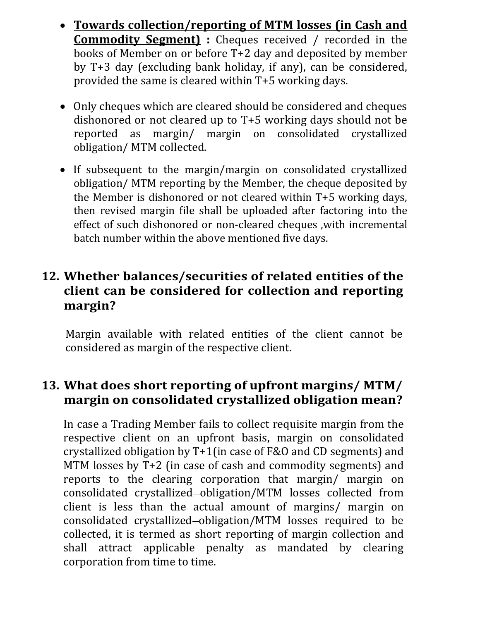- **Towards collection/reporting of MTM losses (in Cash and Commodity Segment) :** Cheques received / recorded in the books of Member on or before T+2 day and deposited by member by T+3 day (excluding bank holiday, if any), can be considered, provided the same is cleared within T+5 working days.
- Only cheques which are cleared should be considered and cheques dishonored or not cleared up to T+5 working days should not be reported as margin/ margin on consolidated crystallized obligation/ MTM collected.
- If subsequent to the margin/margin on consolidated crystallized obligation/ MTM reporting by the Member, the cheque deposited by the Member is dishonored or not cleared within T+5 working days, then revised margin file shall be uploaded after factoring into the effect of such dishonored or non-cleared cheques ,with incremental batch number within the above mentioned five days.

# **12. Whether balances/securities of related entities of the client can be considered for collection and reporting margin?**

Margin available with related entities of the client cannot be considered as margin of the respective client.

# **13. What does short reporting of upfront margins/ MTM/ margin on consolidated crystallized obligation mean?**

In case a Trading Member fails to collect requisite margin from the respective client on an upfront basis, margin on consolidated crystallized obligation by T+1(in case of F&O and CD segments) and MTM losses by T+2 (in case of cash and commodity segments) and reports to the clearing corporation that margin/ margin on consolidated crystallized obligation/MTM losses collected from client is less than the actual amount of margins/ margin on consolidated crystallized obligation/MTM losses required to be collected, it is termed as short reporting of margin collection and shall attract applicable penalty as mandated by clearing corporation from time to time.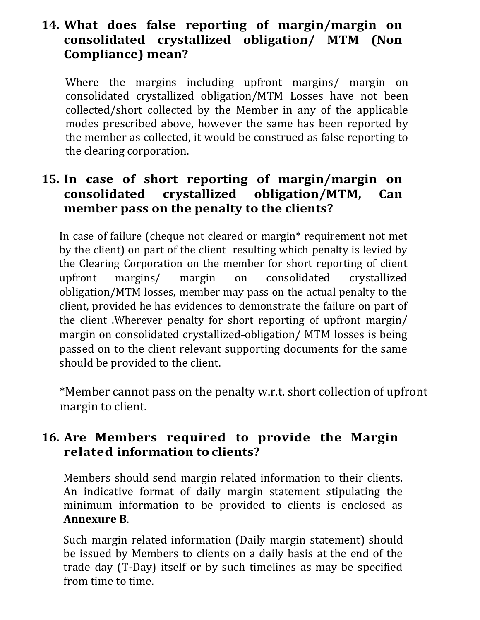# **14. What does false reporting of margin/margin on consolidated crystallized obligation/ MTM (Non Compliance) mean?**

Where the margins including upfront margins/ margin on consolidated crystallized obligation/MTM Losses have not been collected/short collected by the Member in any of the applicable modes prescribed above, however the same has been reported by the member as collected, it would be construed as false reporting to the clearing corporation.

#### **15. In case of short reporting of margin/margin on consolidated crystallized obligation/MTM, Can member pass on the penalty to the clients?**

In case of failure (cheque not cleared or margin\* requirement not met by the client) on part of the client resulting which penalty is levied by the Clearing Corporation on the member for short reporting of client upfront margins/ margin on consolidated crystallized obligation/MTM losses, member may pass on the actual penalty to the client, provided he has evidences to demonstrate the failure on part of the client .Wherever penalty for short reporting of upfront margin/ margin on consolidated crystallized obligation/ MTM losses is being passed on to the client relevant supporting documents for the same should be provided to the client.

\*Member cannot pass on the penalty w.r.t. short collection of upfront margin to client.

# **16. Are Members required to provide the Margin related information to clients?**

Members should send margin related information to their clients. An indicative format of daily margin statement stipulating the minimum information to be provided to clients is enclosed as **Annexure B**.

Such margin related information (Daily margin statement) should be issued by Members to clients on a daily basis at the end of the trade day (T-Day) itself or by such timelines as may be specified from time to time.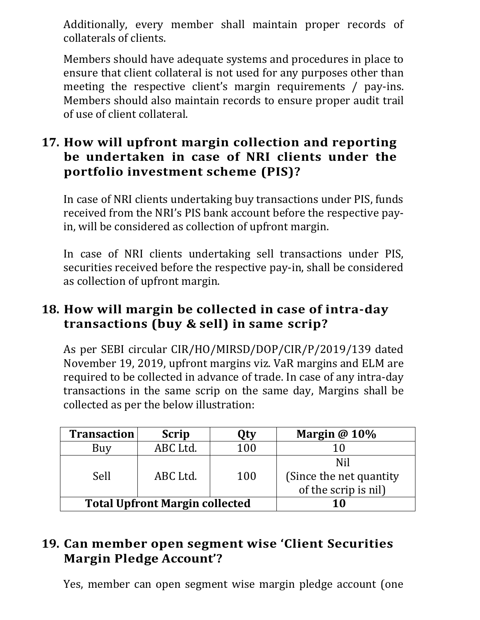Additionally, every member shall maintain proper records of collaterals of clients.

Members should have adequate systems and procedures in place to ensure that client collateral is not used for any purposes other than meeting the respective client's margin requirements / pay-ins. Members should also maintain records to ensure proper audit trail of use of client collateral.

# **17. How will upfront margin collection and reporting be undertaken in case of NRI clients under the portfolio investment scheme (PIS)?**

In case of NRI clients undertaking buy transactions under PIS, funds received from the NRI's PIS bank account before the respective payin, will be considered as collection of upfront margin.

In case of NRI clients undertaking sell transactions under PIS, securities received before the respective pay-in, shall be considered as collection of upfront margin.

# **18. How will margin be collected in case of intra-day transactions (buy & sell) in same scrip?**

As per SEBI circular CIR/HO/MIRSD/DOP/CIR/P/2019/139 dated November 19, 2019, upfront margins viz. VaR margins and ELM are required to be collected in advance of trade. In case of any intra-day transactions in the same scrip on the same day, Margins shall be collected as per the below illustration:

| <b>Transaction</b>                    | <b>Scrip</b> | <b>Qty</b> | Margin $@10\%$           |
|---------------------------------------|--------------|------------|--------------------------|
| Buy                                   | ABC Ltd.     | 100        | 10                       |
|                                       |              |            | Nil                      |
| Sell                                  | ABC Ltd.     | 100        | (Since the net quantity) |
|                                       |              |            | of the scrip is nil)     |
| <b>Total Upfront Margin collected</b> |              |            | 10                       |

# **19. Can member open segment wise 'Client Securities Margin Pledge Account'?**

Yes, member can open segment wise margin pledge account (one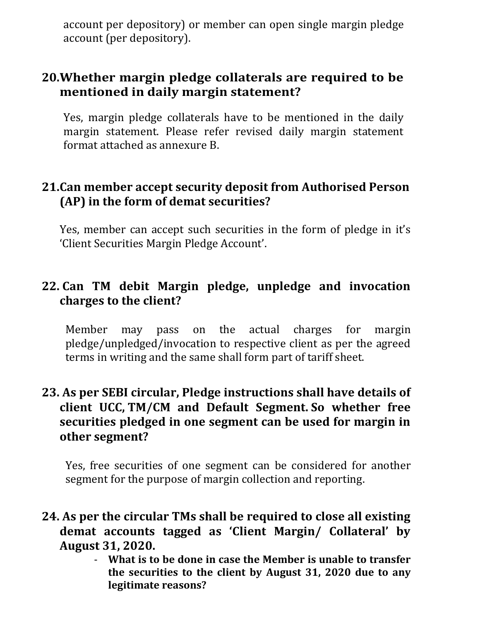account per depository) or member can open single margin pledge account (per depository).

# **20.Whether margin pledge collaterals are required to be mentioned in daily margin statement?**

Yes, margin pledge collaterals have to be mentioned in the daily margin statement. Please refer revised daily margin statement format attached as annexure B.

#### **21.Can member accept security deposit from Authorised Person (AP) in the form of demat securities?**

Yes, member can accept such securities in the form of pledge in it's 'Client Securities Margin Pledge Account'.

#### **22. Can TM debit Margin pledge, unpledge and invocation charges to the client?**

Member may pass on the actual charges for margin pledge/unpledged/invocation to respective client as per the agreed terms in writing and the same shall form part of tariff sheet.

#### **23. As per SEBI circular, Pledge instructions shall have details of client UCC, TM/CM and Default Segment. So whether free securities pledged in one segment can be used for margin in other segment?**

Yes, free securities of one segment can be considered for another segment for the purpose of margin collection and reporting.

#### **24. As per the circular TMs shall be required to close all existing demat accounts tagged as 'Client Margin/ Collateral' by August 31, 2020.**

- **What is to be done in case the Member is unable to transfer the securities to the client by August 31, 2020 due to any legitimate reasons?**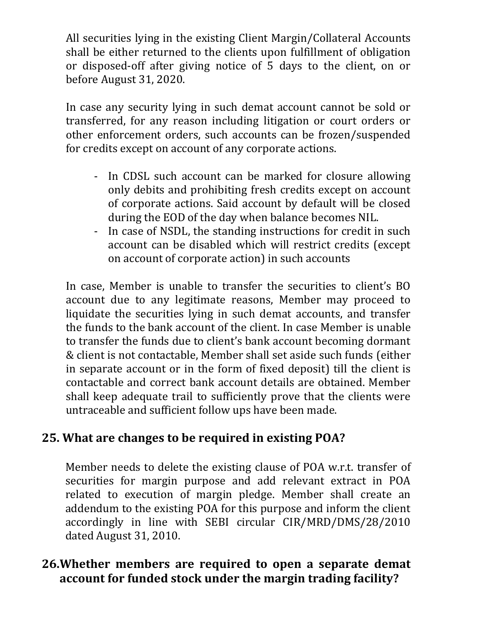All securities lying in the existing Client Margin/Collateral Accounts shall be either returned to the clients upon fulfillment of obligation or disposed-off after giving notice of 5 days to the client, on or before August 31, 2020.

In case any security lying in such demat account cannot be sold or transferred, for any reason including litigation or court orders or other enforcement orders, such accounts can be frozen/suspended for credits except on account of any corporate actions.

- In CDSL such account can be marked for closure allowing only debits and prohibiting fresh credits except on account of corporate actions. Said account by default will be closed during the EOD of the day when balance becomes NIL.
- In case of NSDL, the standing instructions for credit in such account can be disabled which will restrict credits (except on account of corporate action) in such accounts

In case, Member is unable to transfer the securities to client's BO account due to any legitimate reasons, Member may proceed to liquidate the securities lying in such demat accounts, and transfer the funds to the bank account of the client. In case Member is unable to transfer the funds due to client's bank account becoming dormant & client is not contactable, Member shall set aside such funds (either in separate account or in the form of fixed deposit) till the client is contactable and correct bank account details are obtained. Member shall keep adequate trail to sufficiently prove that the clients were untraceable and sufficient follow ups have been made.

# **25. What are changes to be required in existing POA?**

Member needs to delete the existing clause of POA w.r.t. transfer of securities for margin purpose and add relevant extract in POA related to execution of margin pledge. Member shall create an addendum to the existing POA for this purpose and inform the client accordingly in line with SEBI circular CIR/MRD/DMS/28/2010 dated August 31, 2010.

# **26.Whether members are required to open a separate demat account for funded stock under the margin trading facility?**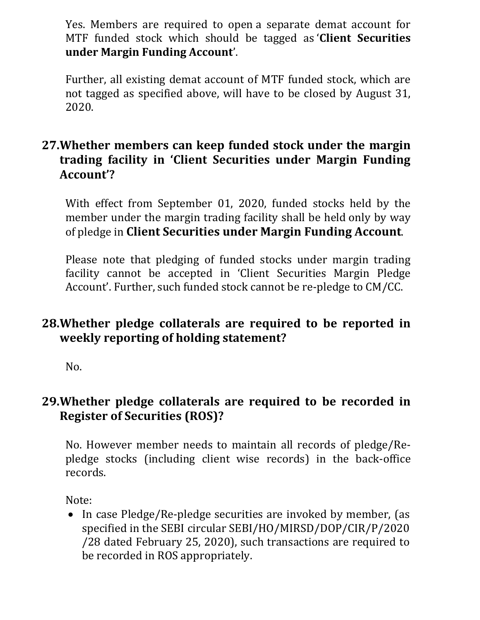Yes. Members are required to open a separate demat account for MTF funded stock which should be tagged as '**Client Securities under Margin Funding Account**'.

Further, all existing demat account of MTF funded stock, which are not tagged as specified above, will have to be closed by August 31, 2020.

# **27.Whether members can keep funded stock under the margin trading facility in 'Client Securities under Margin Funding Account'?**

With effect from September 01, 2020, funded stocks held by the member under the margin trading facility shall be held only by way of pledge in **Client Securities under Margin Funding Account**.

Please note that pledging of funded stocks under margin trading facility cannot be accepted in 'Client Securities Margin Pledge Account'. Further, such funded stock cannot be re-pledge to CM/CC.

# **28.Whether pledge collaterals are required to be reported in weekly reporting of holding statement?**

No.

#### **29.Whether pledge collaterals are required to be recorded in Register of Securities (ROS)?**

No. However member needs to maintain all records of pledge/Repledge stocks (including client wise records) in the back-office records.

Note:

• In case Pledge/Re-pledge securities are invoked by member, (as specified in the SEBI circular SEBI/HO/MIRSD/DOP/CIR/P/2020 /28 dated February 25, 2020), such transactions are required to be recorded in ROS appropriately.